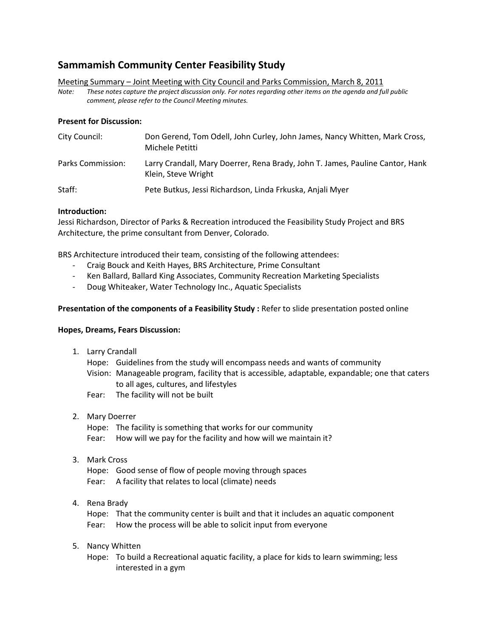# **Sammamish Community Center Feasibility Study**

Meeting Summary – Joint Meeting with City Council and Parks Commission, March 8, 2011

*Note: These notes capture the project discussion only. For notes regarding other items on the agenda and full public comment, please refer to the Council Meeting minutes.*

# **Present for Discussion:**

| City Council:     | Don Gerend, Tom Odell, John Curley, John James, Nancy Whitten, Mark Cross,<br>Michele Petitti        |
|-------------------|------------------------------------------------------------------------------------------------------|
| Parks Commission: | Larry Crandall, Mary Doerrer, Rena Brady, John T. James, Pauline Cantor, Hank<br>Klein, Steve Wright |
| Staff:            | Pete Butkus, Jessi Richardson, Linda Frkuska, Anjali Myer                                            |

# **Introduction:**

Jessi Richardson, Director of Parks & Recreation introduced the Feasibility Study Project and BRS Architecture, the prime consultant from Denver, Colorado.

BRS Architecture introduced their team, consisting of the following attendees:

- Craig Bouck and Keith Hayes, BRS Architecture, Prime Consultant
- Ken Ballard, Ballard King Associates, Community Recreation Marketing Specialists
- Doug Whiteaker, Water Technology Inc., Aquatic Specialists

# **Presentation of the components of a Feasibility Study :** Refer to slide presentation posted online

# **Hopes, Dreams, Fears Discussion:**

1. Larry Crandall

Hope: Guidelines from the study will encompass needs and wants of community

- Vision: Manageable program, facility that is accessible, adaptable, expandable; one that caters to all ages, cultures, and lifestyles
- Fear: The facility will not be built
- 2. Mary Doerrer

Hope: The facility is something that works for our community Fear: How will we pay for the facility and how will we maintain it?

3. Mark Cross

Hope: Good sense of flow of people moving through spaces Fear: A facility that relates to local (climate) needs

4. Rena Brady

Hope: That the community center is built and that it includes an aquatic component Fear: How the process will be able to solicit input from everyone

5. Nancy Whitten

Hope: To build a Recreational aquatic facility, a place for kids to learn swimming; less interested in a gym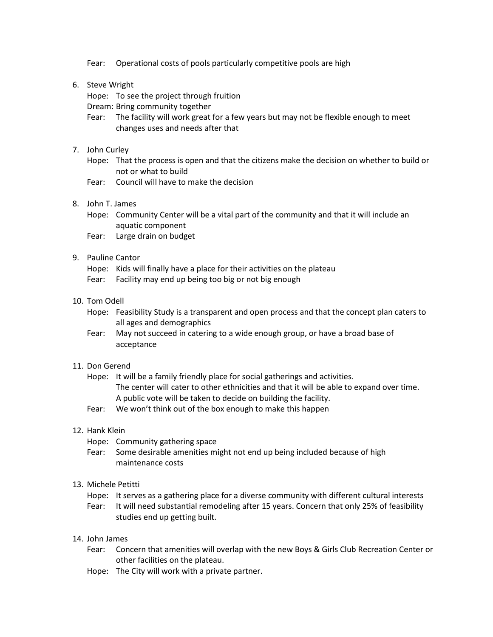Fear: Operational costs of pools particularly competitive pools are high

- 6. Steve Wright
	- Hope: To see the project through fruition
	- Dream: Bring community together
	- Fear: The facility will work great for a few years but may not be flexible enough to meet changes uses and needs after that
- 7. John Curley
	- Hope: That the process is open and that the citizens make the decision on whether to build or not or what to build
	- Fear: Council will have to make the decision
- 8. John T. James
	- Hope: Community Center will be a vital part of the community and that it will include an aquatic component
	- Fear: Large drain on budget

#### 9. Pauline Cantor

- Hope: Kids will finally have a place for their activities on the plateau
- Fear: Facility may end up being too big or not big enough
- 10. Tom Odell
	- Hope: Feasibility Study is a transparent and open process and that the concept plan caters to all ages and demographics
	- Fear: May not succeed in catering to a wide enough group, or have a broad base of acceptance

#### 11. Don Gerend

- Hope: It will be a family friendly place for social gatherings and activities. The center will cater to other ethnicities and that it will be able to expand over time. A public vote will be taken to decide on building the facility.
- Fear: We won't think out of the box enough to make this happen

#### 12. Hank Klein

- Hope: Community gathering space
- Fear: Some desirable amenities might not end up being included because of high maintenance costs

#### 13. Michele Petitti

- Hope: It serves as a gathering place for a diverse community with different cultural interests
- Fear: It will need substantial remodeling after 15 years. Concern that only 25% of feasibility studies end up getting built.

#### 14. John James

- Fear: Concern that amenities will overlap with the new Boys & Girls Club Recreation Center or other facilities on the plateau.
- Hope: The City will work with a private partner.